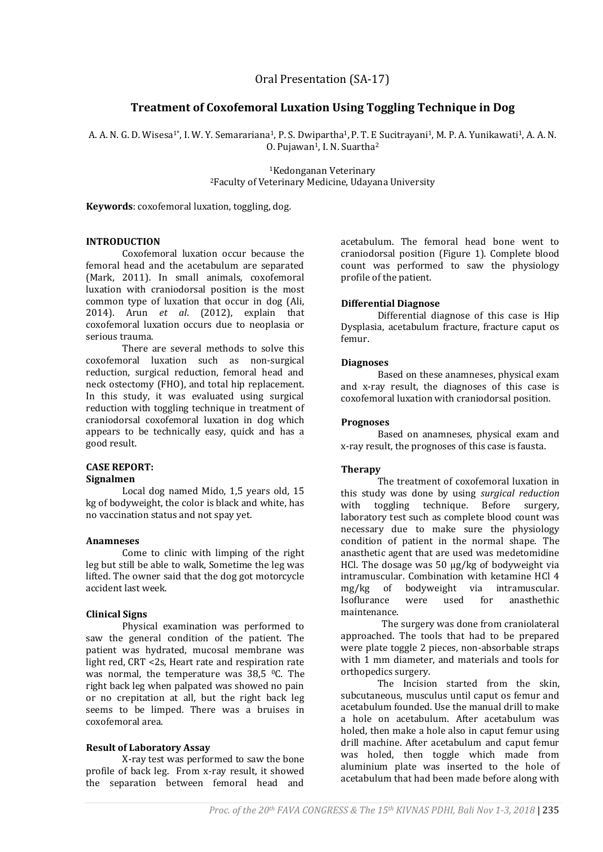# **Treatment of Coxofemoral Luxation Using Toggling Technique in Dog**

A. A. N. G. D. Wisesa<sup>1\*</sup>, I. W. Y. Semarariana<sup>1</sup>, P. S. Dwipartha<sup>1</sup>, P. T. E Sucitrayani<sup>1</sup>, M. P. A. Yunikawati<sup>1</sup>, A. A. N. 0. Pujawan<sup>1</sup>, I. N. Suartha<sup>2</sup>

> <sup>1</sup>Kedonganan Veterinary <sup>2</sup>Faculty of Veterinary Medicine, Udayana University

**Keywords**: coxofemoral luxation, toggling, dog.

#### **INTRODUCTION**

Coxofemoral luxation occur because the femoral head and the acetabulum are separated (Mark, 2011). In small animals, coxofemoral luxation with craniodorsal position is the most common type of luxation that occur in dog (Ali, 2014). Arun *et al*. (2012), explain that coxofemoral luxation occurs due to neoplasia or serious trauma.

There are several methods to solve this coxofemoral luxation such as non-surgical reduction, surgical reduction, femoral head and neck ostectomy (FHO), and total hip replacement. In this study, it was evaluated using surgical reduction with toggling technique in treatment of craniodorsal coxofemoral luxation in dog which appears to be technically easy, quick and has a good result.

# **CASE REPORT:**

# **Signalmen**

Local dog named Mido, 1,5 years old, 15 kg of bodyweight, the color is black and white, has no vaccination status and not spay yet.

#### **Anamneses**

Come to clinic with limping of the right leg but still be able to walk, Sometime the leg was lifted. The owner said that the dog got motorcycle accident last week.

# **Clinical Signs**

Physical examination was performed to saw the general condition of the patient. The patient was hydrated, mucosal membrane was light red, CRT <2s, Heart rate and respiration rate was normal, the temperature was 38,5 <sup>o</sup>C. The right back leg when palpated was showed no pain or no crepitation at all, but the right back leg seems to be limped. There was a bruises in coxofemoral area.

# **Result of Laboratory Assay**

X-ray test was performed to saw the bone profile of back leg. From x-ray result, it showed the separation between femoral head and

acetabulum. The femoral head bone went to craniodorsal position (Figure 1). Complete blood count was performed to saw the physiology profile of the patient.

#### **Differential Diagnose**

Differential diagnose of this case is Hip Dysplasia, acetabulum fracture, fracture caput os femur.

#### **Diagnoses**

Based on these anamneses, physical exam and x-ray result, the diagnoses of this case is coxofemoral luxation with craniodorsal position.

## **Prognoses**

Based on anamneses, physical exam and x-ray result, the prognoses of this case is fausta.

# **Therapy**

The treatment of coxofemoral luxation in this study was done by using *surgical reduction* with toggling technique. Before surgery, laboratory test such as complete blood count was necessary due to make sure the physiology condition of patient in the normal shape. The anasthetic agent that are used was medetomidine HCl. The dosage was 50 µg/kg of bodyweight via intramuscular. Combination with ketamine HCl 4 mg/kg of bodyweight via intramuscular. Isoflurance were used for anasthethic maintenance.

The surgery was done from craniolateral approached. The tools that had to be prepared were plate toggle 2 pieces, non-absorbable straps with 1 mm diameter, and materials and tools for orthopedics surgery.

The Incision started from the skin, subcutaneous, musculus until caput os femur and acetabulum founded. Use the manual drill to make a hole on acetabulum. After acetabulum was holed, then make a hole also in caput femur using drill machine. After acetabulum and caput femur was holed, then toggle which made from aluminium plate was inserted to the hole of acetabulum that had been made before along with